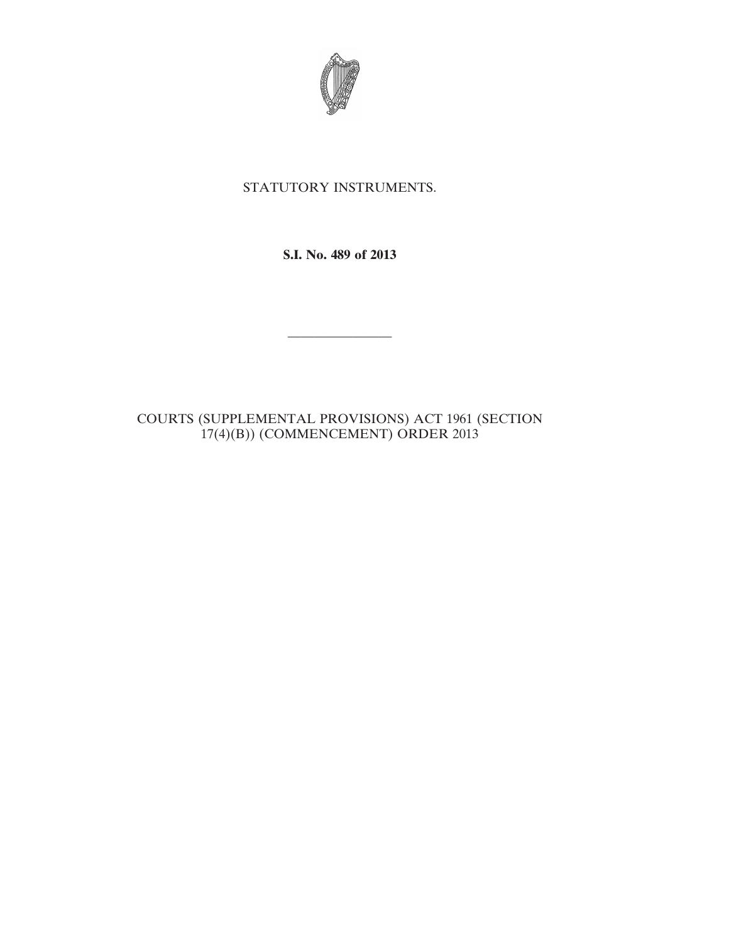

## STATUTORY INSTRUMENTS.

**S.I. No. 489 of 2013**

————————

COURTS (SUPPLEMENTAL PROVISIONS) ACT 1961 (SECTION 17(4)(B)) (COMMENCEMENT) ORDER 2013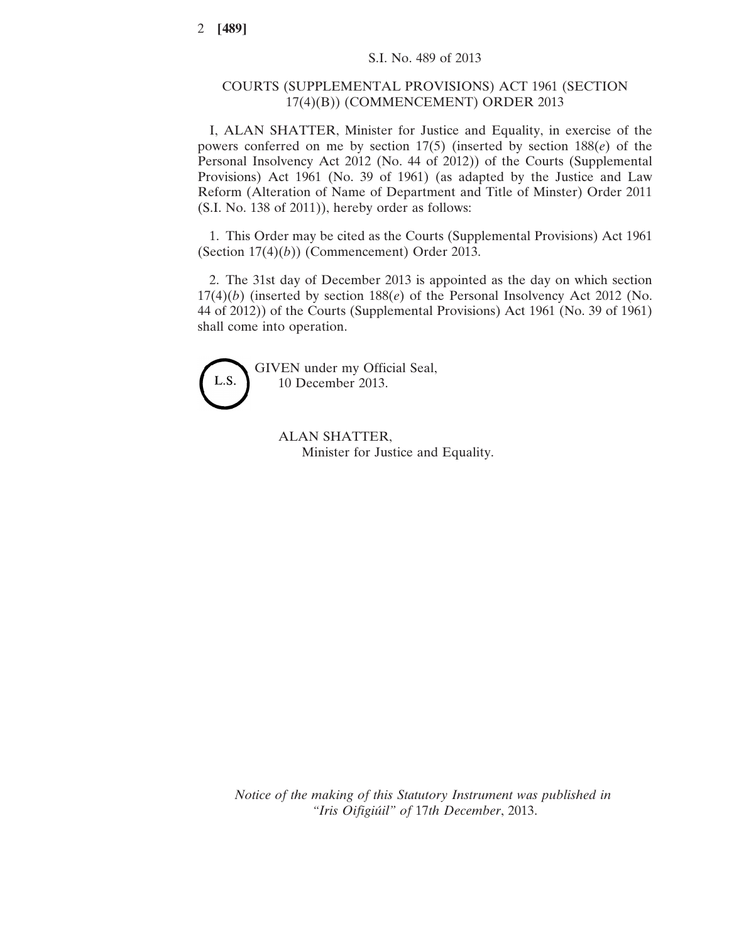## COURTS (SUPPLEMENTAL PROVISIONS) ACT 1961 (SECTION 17(4)(B)) (COMMENCEMENT) ORDER 2013

I, ALAN SHATTER, Minister for Justice and Equality, in exercise of the powers conferred on me by section 17(5) (inserted by section 188(*e*) of the Personal Insolvency Act 2012 (No. 44 of 2012)) of the Courts (Supplemental Provisions) Act 1961 (No. 39 of 1961) (as adapted by the Justice and Law Reform (Alteration of Name of Department and Title of Minster) Order 2011 (S.I. No. 138 of 2011)), hereby order as follows:

1. This Order may be cited as the Courts (Supplemental Provisions) Act 1961 (Section 17(4)(*b*)) (Commencement) Order 2013.

2. The 31st day of December 2013 is appointed as the day on which section 17(4)(*b*) (inserted by section 188(*e*) of the Personal Insolvency Act 2012 (No. 44 of 2012)) of the Courts (Supplemental Provisions) Act 1961 (No. 39 of 1961) shall come into operation.



GIVEN under my Official Seal, 10 December 2013.

> ALAN SHATTER, Minister for Justice and Equality.

*Notice of the making of this Statutory Instrument was published in "Iris Oifigiúil" of* 17*th December*, 2013.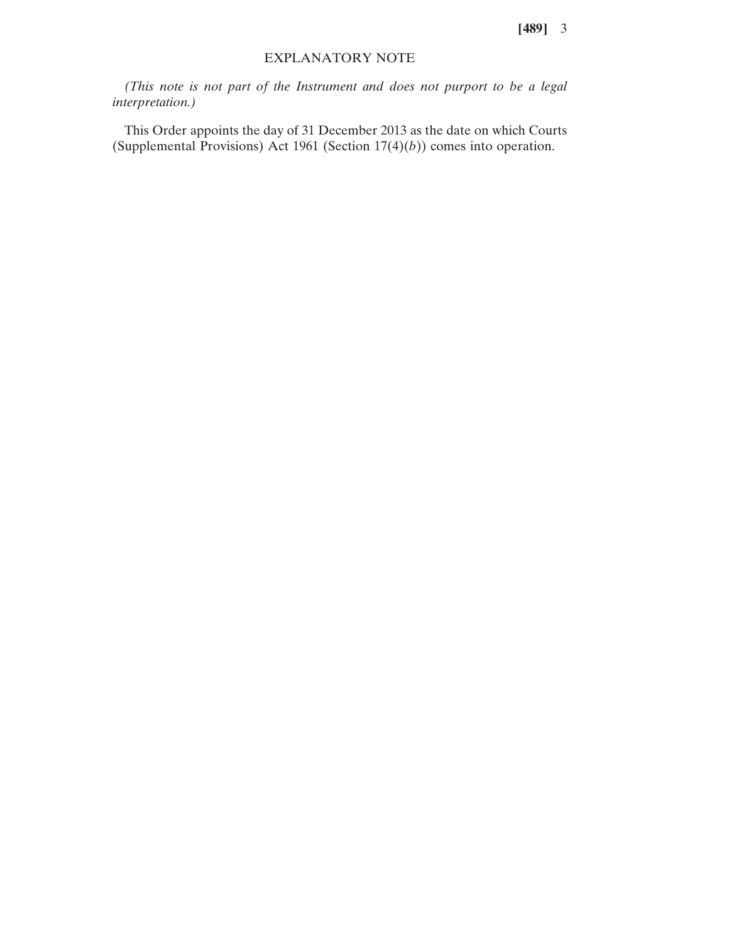**[489]** 3

## EXPLANATORY NOTE

*(This note is not part of the Instrument and does not purport to be a legal interpretation.)*

This Order appoints the day of 31 December 2013 as the date on which Courts (Supplemental Provisions) Act 1961 (Section 17(4)(*b*)) comes into operation.